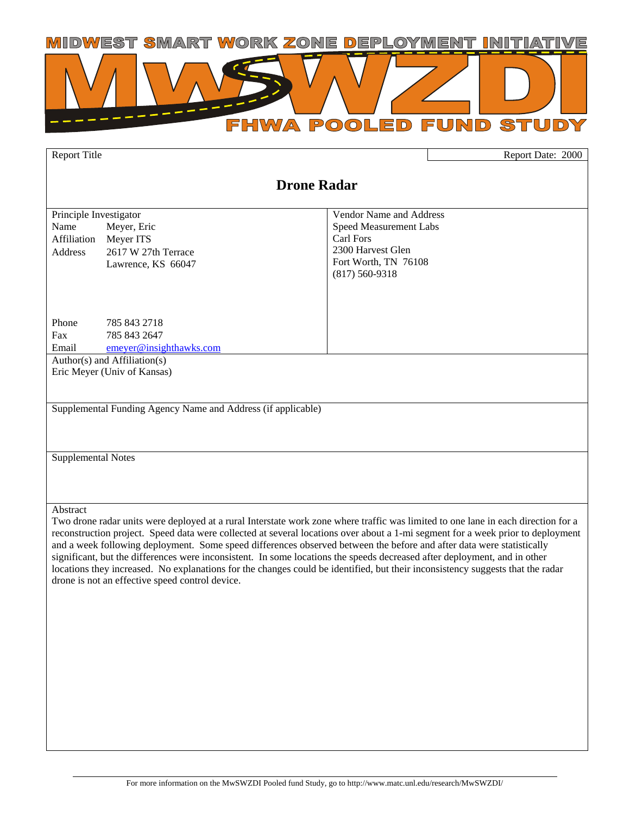

Report Title Report Date: 2000

# **Drone Radar**  Principle Investigator Vendor Name and Address Name Meyer, Eric Affiliation Meyer ITS Address 2617 W 27th Terrace Lawrence, KS 66047 Phone 785 843 2718 Fax 785 843 2647 Email emeyer@insighthawks.com Speed Measurement Labs Carl Fors 2300 Harvest Glen Fort Worth, TN 76108 (817) 560-9318 Author(s) and Affiliation(s) Eric Meyer (Univ of Kansas) Supplemental Funding Agency Name and Address (if applicable) Supplemental Notes Abstract Two drone radar units were deployed at a rural Interstate work zone where traffic was limited to one lane in each direction for a reconstruction project. Speed data were collected at several locations over about a 1-mi segment for a week prior to deployment and a week following deployment. Some speed differences observed between the before and after data were statistically significant, but the differences were inconsistent. In some locations the speeds decreased after deployment, and in other locations they increased. No explanations for the changes could be identified, but their inconsistency suggests that the radar drone is not an effective speed control device.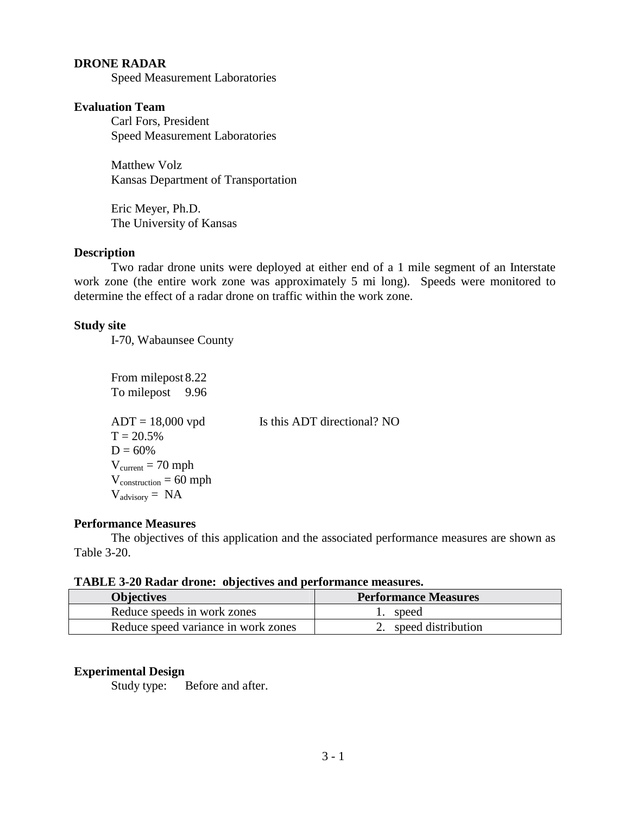## **DRONE RADAR**

Speed Measurement Laboratories

### **Evaluation Team**

Carl Fors, President Speed Measurement Laboratories

Matthew Volz Kansas Department of Transportation

Eric Meyer, Ph.D. The University of Kansas

#### **Description**

Two radar drone units were deployed at either end of a 1 mile segment of an Interstate work zone (the entire work zone was approximately 5 mi long). Speeds were monitored to determine the effect of a radar drone on traffic within the work zone.

## **Study site**

I-70, Wabaunsee County

From milepost 8.22 To milepost 9.96  $ADT = 18,000$  vpd Is this ADT directional? NO  $T = 20.5%$  $D = 60\%$  $V_{\text{current}} = 70 \text{ mph}$  $V_{construction} = 60$  mph  $V_{\text{advisorv}} = NA$ 

## **Performance Measures**

The objectives of this application and the associated performance measures are shown as Table 3-20.

#### **TABLE 3-20 Radar drone: objectives and performance measures.**

| <b>Objectives</b>                   | <b>Performance Measures</b> |
|-------------------------------------|-----------------------------|
| Reduce speeds in work zones         | speed                       |
| Reduce speed variance in work zones | 2. speed distribution       |

## **Experimental Design**

Study type: Before and after.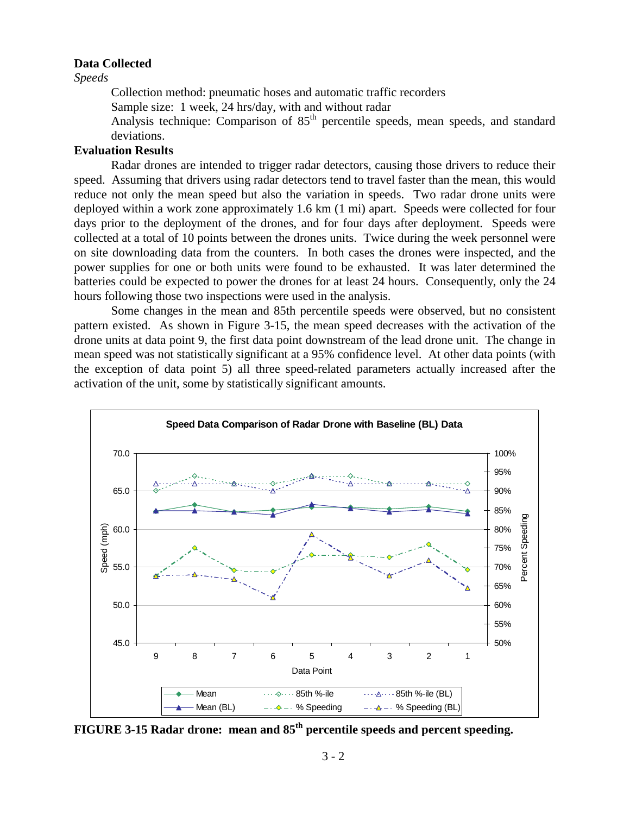#### **Data Collected**

*Speeds* 

Collection method: pneumatic hoses and automatic traffic recorders

Sample size: 1 week, 24 hrs/day, with and without radar

Analysis technique: Comparison of  $85<sup>th</sup>$  percentile speeds, mean speeds, and standard deviations.

#### **Evaluation Results**

Radar drones are intended to trigger radar detectors, causing those drivers to reduce their speed. Assuming that drivers using radar detectors tend to travel faster than the mean, this would reduce not only the mean speed but also the variation in speeds. Two radar drone units were deployed within a work zone approximately 1.6 km (1 mi) apart. Speeds were collected for four days prior to the deployment of the drones, and for four days after deployment. Speeds were collected at a total of 10 points between the drones units. Twice during the week personnel were on site downloading data from the counters. In both cases the drones were inspected, and the power supplies for one or both units were found to be exhausted. It was later determined the batteries could be expected to power the drones for at least 24 hours. Consequently, only the 24 hours following those two inspections were used in the analysis.

Some changes in the mean and 85th percentile speeds were observed, but no consistent pattern existed. As shown in Figure 3-15, the mean speed decreases with the activation of the drone units at data point 9, the first data point downstream of the lead drone unit. The change in mean speed was not statistically significant at a 95% confidence level. At other data points (with the exception of data point 5) all three speed-related parameters actually increased after the activation of the unit, some by statistically significant amounts.



**FIGURE 3-15 Radar drone: mean and 85th percentile speeds and percent speeding.**